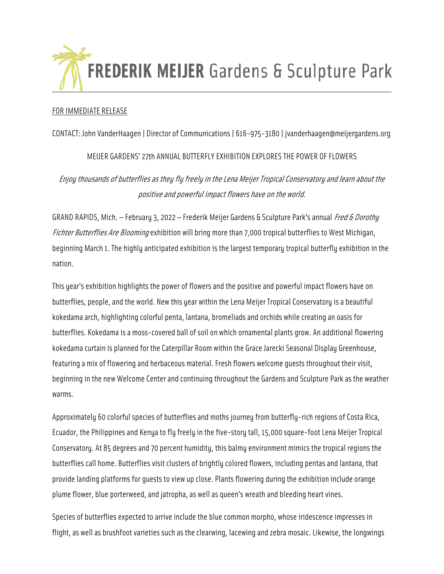# **FREDERIK MEIJER Gardens & Sculpture Park**

## FOR IMMEDIATE RELEASE

CONTACT: John VanderHaagen | Director of Communications| 616-975-3180 | jvanderhaagen@meijergardens.org

# MEIJER GARDENS' 27th ANNUAL BUTTERFLY EXHIBITION EXPLORES THE POWER OF FLOWERS

Enjoy thousands of butterflies as they fly freely in the Lena Meijer Tropical Conservatory and learn about the positive and powerful impact flowers have on the world.

GRAND RAPIDS, Mich. — February 3, 2022 — Frederik Meijer Gardens & Sculpture Park's annual Fred & Dorothy Fichter Butterflies Are Blooming exhibition will bring more than 7,000 tropical butterflies to West Michigan, beginning March 1. The highly anticipated exhibition is the largest temporary tropical butterfly exhibition in the nation.

This year's exhibition highlights the power of flowers and the positive and powerful impact flowers have on butterflies, people, and the world. New this year within the Lena Meijer Tropical Conservatory is a beautiful kokedama arch, highlighting colorful penta, lantana, bromeliads and orchids while creating an oasis for butterflies. Kokedama is a moss-covered ball of soil on which ornamental plants grow. An additional flowering kokedama curtain is planned for the Caterpillar Room within the Grace Jarecki Seasonal Display Greenhouse, featuring a mix of flowering and herbaceous material. Fresh flowers welcome quests throughout their visit, beginning in the new Welcome Center and continuing throughout the Gardens and Sculpture Park as the weather warms.

Approximately 60 colorful species of butterflies and moths journey from butterfly-rich regions of Costa Rica, Ecuador, the Philippines and Kenya to fly freely in the five-story tall, 15,000 square-foot Lena Meijer Tropical Conservatory. At 85 degrees and 70 percent humidity, this balmy environment mimics the tropical regions the butterflies call home. Butterflies visitclusters of brightly colored flowers, including pentas and lantana, that provide landing platforms for guests to view up close. Plants flowering during the exhibition include orange plume flower, blue porterweed, and jatropha, as well as queen's wreath and bleeding heart vines.

Species of butterflies expected to arrive include the blue common morpho, whose iridescence impresses in flight, as well as brushfoot varieties such as the clearwing, lacewing and zebra mosaic. Likewise, the longwings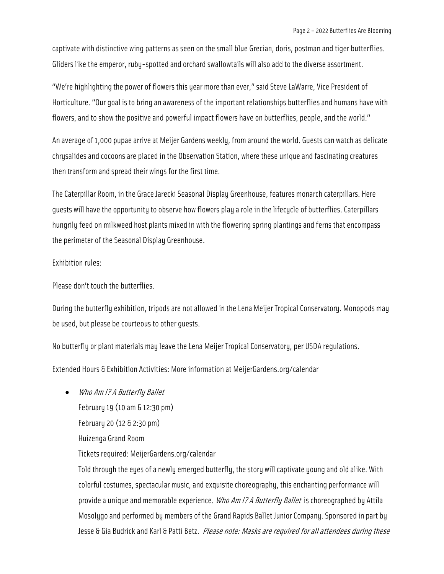captivate with distinctive wing patterns as seen on the small blue Grecian, doris, postman and tiger butterflies. Gliders like the emperor, ruby-spotted and orchard swallowtails will also add to the diverse assortment.

"We're highlighting the power of flowers this year more than ever," said Steve LaWarre, Vice President of Horticulture. "Our goal is to bring an awareness of the important relationships butterflies and humans have with flowers, and to show the positive and powerful impact flowers have on butterflies, people, and the world."

An average of 1,000 pupae arrive at Meijer Gardens weekly, from around the world. Guests can watch as delicate chrysalides and cocoons are placed in the Observation Station, where these unique and fascinating creatures then transform and spread their wings for the first time.

The Caterpillar Room, in the Grace Jarecki Seasonal Display Greenhouse, features monarch caterpillars. Here guests will have the opportunity to observe how flowers play a role in the lifecycle of butterflies. Caterpillars hungrily feed on milkweed host plants mixed in with the flowering spring plantings and ferns that encompass the perimeter of the Seasonal Display Greenhouse.

Exhibition rules:

Please don't touch the butterflies.

During the butterfly exhibition, tripods are not allowed in the Lena Meijer Tropical Conservatory. Monopods may be used, but please be courteous to other guests.

No butterfly or plant materials may leave the Lena Meijer Tropical Conservatory, per USDA regulations.

Extended Hours & Exhibition Activities: More information at MeijerGardens.org/calendar

• Who Am I? A Butterfly Ballet

February 19 (10 am & 12:30 pm)

February 20 (12 & 2:30 pm)

Huizenga Grand Room

Tickets required: MeijerGardens.org/calendar

Told through the eyes of a newly emerged butterfly, the story will captivate young and old alike. With colorful costumes, spectacular music, and exquisite choreography, this enchanting performance will provide a unique and memorable experience. *Who Am I? A Butterfly Ballet* is choreographed by Attila Mosolygo and performed by members of the Grand Rapids Ballet Junior Company. Sponsored in part by Jesse & Gia Budrick and Karl & Patti Betz. *Please note: Masks are required for all attendees during these*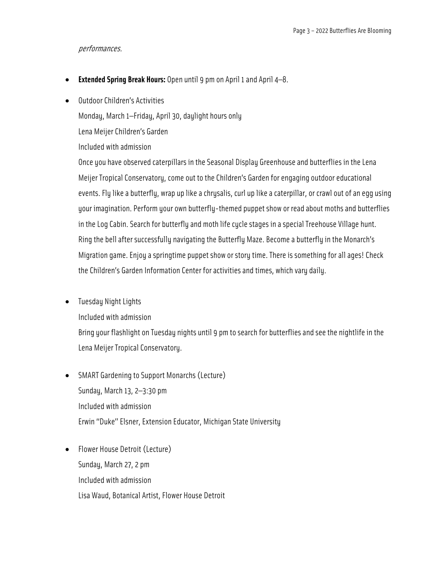#### performances.

- **Extended Spring Break Hours:** Open until 9 pm on April 1 and April 4-8.
- Outdoor Children's Activities

Monday, March 1—Friday, April 30, daylight hours only

Lena Meijer Children's Garden

Included with admission

Once you have observed caterpillars in the Seasonal Display Greenhouse and butterflies in the Lena Meijer Tropical Conservatory, come out to the Children's Garden for engaging outdoor educational events. Fly like a butterfly, wrap up like a chrysalis, curl up like a caterpillar, or crawl out of an egg using your imagination. Perform your own butterfly-themed puppet show or read about moths and butterflies in the Log Cabin. Search for butterfly and moth life cycle stages in a special Treehouse Village hunt. Ring the bell after successfully navigating the Butterfly Maze. Become a butterfly in the Monarch's Migration game. Enjoy a springtime puppet show or story time. There is something for all ages! Check the Children's Garden Information Center for activities and times, which vary daily.

• Tuesday Night Lights

Included with admission

Bring your flashlight on Tuesday nights until 9 pm to search for butterflies and see the nightlife in the Lena Meijer Tropical Conservatory.

- SMART Gardening to Support Monarchs (Lecture) Sunday, March 13, 2—3:30 pm Included with admission Erwin "Duke" Elsner, Extension Educator, Michigan State University
- Flower House Detroit (Lecture) Sunday, March 27, 2 pm Included with admission Lisa Waud, Botanical Artist, Flower House Detroit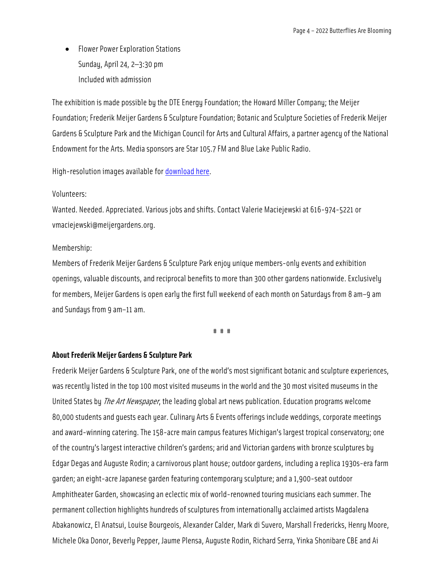• Flower Power Exploration Stations Sunday, April 24, 2—3:30 pm Included with admission

The exhibition is made possible by the DTE Energy Foundation; the Howard Miller Company; the Meijer Foundation;Frederik Meijer Gardens & Sculpture Foundation; Botanic and Sculpture Societies of Frederik Meijer Gardens & Sculpture Park and the Michigan Council for Arts and Cultural Affairs, a partner agency of the National Endowment for the Arts. Media sponsors are Star105.7 FM and Blue Lake Public Radio.

High-resolution images available fo[r download here.](https://www.dropbox.com/sh/xzm8ejor9pvxvaq/AADBevP79-2MeLifk5vt0Ivna?dl=0)

#### Volunteers:

Wanted. Needed. Appreciated. Various jobs and shifts. Contact Valerie Maciejewski at 616-974-5221 or vmaciejewski@meijergardens.org.

## Membership:

Members of Frederik Meijer Gardens & Sculpture Park enjoy unique members-only events and exhibition openings, valuable discounts, and reciprocal benefits to more than 300 other gardens nationwide. Exclusively for members, Meijer Gardens is open early the first full weekend of each month on Saturdays from 8 am–9 am and Sundays from 9 am–11 am.

# # #

## **About Frederik Meijer Gardens & Sculpture Park**

Frederik Meijer Gardens & Sculpture Park, one of the world's most significant botanic and sculpture experiences, was recently listed in the top 100 most visited museums in the world and the 30 most visited museums in the United States by *The Art Newspaper*, the leading global art news publication. Education programs welcome 80,000 students and guests each year. Culinary Arts & Events offerings include weddings, corporate meetings and award-winning catering. The 158-acre main campus features Michigan's largest tropical conservatory; one of the country's largest interactive children's gardens; arid and Victorian gardens with bronze sculptures by Edgar Degas and Auguste Rodin; a carnivorous plant house; outdoor gardens, including a replica 1930s-era farm garden; an eight-acre Japanese garden featuring contemporary sculpture; and a 1,900-seat outdoor Amphitheater Garden, showcasing an eclectic mix of world-renowned touring musicians each summer. The permanent collection highlights hundreds of sculptures from internationally acclaimed artists Magdalena Abakanowicz, El Anatsui, Louise Bourgeois, Alexander Calder, Mark di Suvero, Marshall Fredericks, Henry Moore, Michele Oka Donor, Beverly Pepper, Jaume Plensa, Auguste Rodin, Richard Serra, Yinka Shonibare CBE and Ai